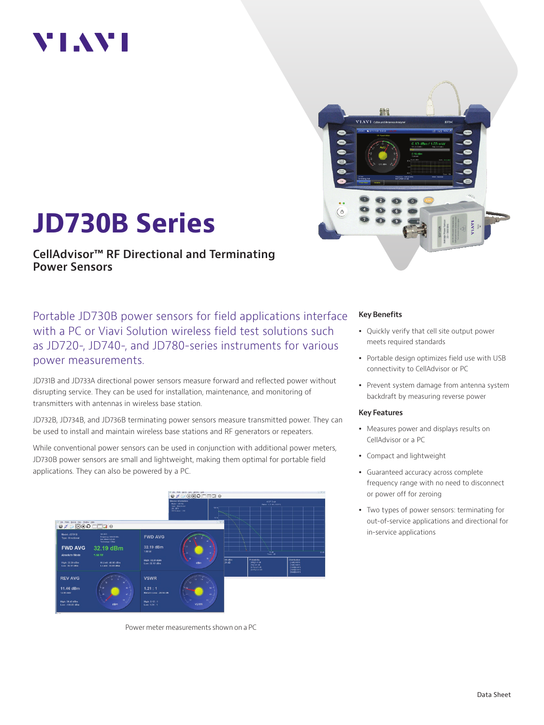# VI.WI



# **JD730B Series**

**CellAdvisor™ RF Directional and Terminating Power Sensors**

Portable JD730B power sensors for field applications interface with a PC or Viavi Solution wireless field test solutions such as JD720-, JD740-, and JD780-series instruments for various power measurements.

JD731B and JD733A directional power sensors measure forward and reflected power without disrupting service. They can be used for installation, maintenance, and monitoring of transmitters with antennas in wireless base station.

JD732B, JD734B, and JD736B terminating power sensors measure transmitted power. They can be used to install and maintain wireless base stations and RF generators or repeaters.

While conventional power sensors can be used in conjunction with additional power meters, JD730B power sensors are small and lightweight, making them optimal for portable field applications. They can also be powered by a PC.



Power meter measurements shown on a PC

#### **Key Benefits**

- Quickly verify that cell site output power meets required standards
- Portable design optimizes field use with USB connectivity to CellAdvisor or PC
- Prevent system damage from antenna system backdraft by measuring reverse power

#### **Key Features**

- Measures power and displays results on CellAdvisor or a PC
- Compact and lightweight
- Guaranteed accuracy across complete frequency range with no need to disconnect or power off for zeroing
- Two types of power sensors: terminating for out-of-service applications and directional for in-service applications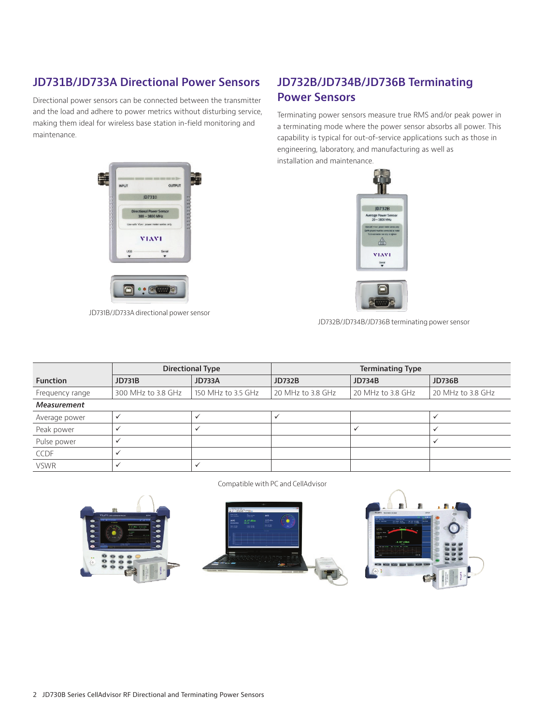### **JD731B/JD733A Directional Power Sensors**

Directional power sensors can be connected between the transmitter and the load and adhere to power metrics without disturbing service, making them ideal for wireless base station in-field monitoring and maintenance.

## H **INPUT**  $\alpha$ **JD731B VIAVI**  $\Box$  $\bullet \bullet$   $\circ$

JD731B/JD733A directional power sensor

### **JD732B/JD734B/JD736B Terminating Power Sensors**

Terminating power sensors measure true RMS and/or peak power in a terminating mode where the power sensor absorbs all power. This capability is typical for out-of-service applications such as those in engineering, laboratory, and manufacturing as well as installation and maintenance.





JD732B/JD734B/JD736B terminating power sensor

|                 | <b>Directional Type</b> |                    | <b>Terminating Type</b> |                   |                   |
|-----------------|-------------------------|--------------------|-------------------------|-------------------|-------------------|
| <b>Function</b> | <b>JD731B</b>           | <b>JD733A</b>      | <b>JD732B</b>           | <b>JD734B</b>     | <b>JD736B</b>     |
| Frequency range | 300 MHz to 3.8 GHz      | 150 MHz to 3.5 GHz | 20 MHz to 3.8 GHz       | 20 MHz to 3.8 GHz | 20 MHz to 3.8 GHz |
| Measurement     |                         |                    |                         |                   |                   |
| Average power   |                         |                    |                         |                   |                   |
| Peak power      |                         |                    |                         |                   |                   |
| Pulse power     |                         |                    |                         |                   |                   |
| <b>CCDF</b>     |                         |                    |                         |                   |                   |
| <b>VSWR</b>     |                         |                    |                         |                   |                   |

Compatible with PC and CellAdvisor





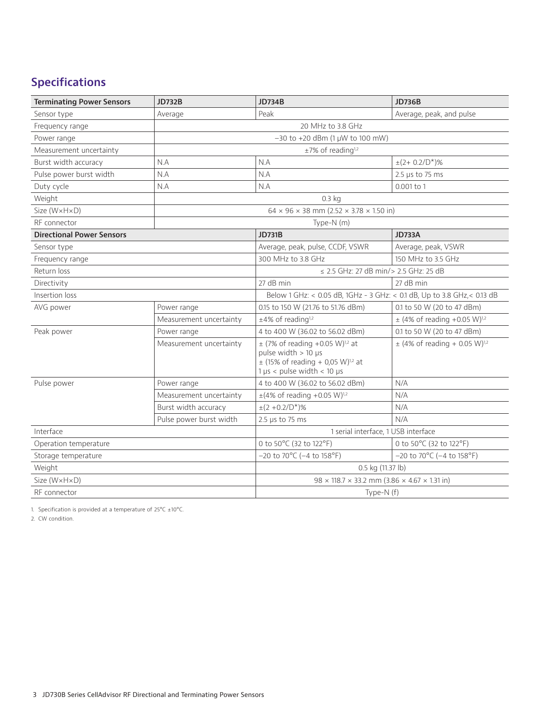## **Specifications**

| <b>Terminating Power Sensors</b> | <b>JD732B</b>                       | <b>JD734B</b>                                                                                                                                                         | <b>JD736B</b>                                 |  |  |
|----------------------------------|-------------------------------------|-----------------------------------------------------------------------------------------------------------------------------------------------------------------------|-----------------------------------------------|--|--|
| Sensor type                      | Average                             | Peak                                                                                                                                                                  | Average, peak, and pulse                      |  |  |
| Frequency range                  | 20 MHz to 3.8 GHz                   |                                                                                                                                                                       |                                               |  |  |
| Power range                      | $-30$ to $+20$ dBm (1 µW to 100 mW) |                                                                                                                                                                       |                                               |  |  |
| Measurement uncertainty          | $\pm 7\%$ of reading <sup>1,2</sup> |                                                                                                                                                                       |                                               |  |  |
| Burst width accuracy             | N.A                                 | N.A                                                                                                                                                                   | $\pm (2 + 0.2/D^{*})$ %                       |  |  |
| Pulse power burst width          | N.A                                 | N.A                                                                                                                                                                   | 2.5 us to 75 ms                               |  |  |
| Duty cycle<br>N.A                |                                     | N.A                                                                                                                                                                   | 0.001 to 1                                    |  |  |
| Weight                           | 0.3 <sub>k</sub>                    |                                                                                                                                                                       |                                               |  |  |
| Size (WxHxD)                     |                                     | $64 \times 96 \times 38$ mm (2.52 $\times$ 3.78 $\times$ 1.50 in)                                                                                                     |                                               |  |  |
| RF connector                     | Type-N (m)                          |                                                                                                                                                                       |                                               |  |  |
| <b>Directional Power Sensors</b> |                                     | <b>JD731B</b>                                                                                                                                                         | <b>JD733A</b>                                 |  |  |
| Sensor type                      |                                     | Average, peak, pulse, CCDF, VSWR                                                                                                                                      | Average, peak, VSWR                           |  |  |
| Frequency range                  |                                     | 300 MHz to 3.8 GHz                                                                                                                                                    | 150 MHz to 3.5 GHz                            |  |  |
| Return loss                      |                                     | < 2.5 GHz: 27 dB min/> 2.5 GHz: 25 dB                                                                                                                                 |                                               |  |  |
| Directivity                      |                                     | 27 dB min                                                                                                                                                             | 27 dB min                                     |  |  |
| Insertion loss                   |                                     | Below 1 GHz: < 0.05 dB, 1GHz - 3 GHz: < 0.1 dB, Up to 3.8 GHz, < 0.13 dB                                                                                              |                                               |  |  |
| AVG power                        | Power range                         | 0.15 to 150 W (21.76 to 51.76 dBm)                                                                                                                                    | 0.1 to 50 W (20 to 47 dBm)                    |  |  |
|                                  | Measurement uncertainty             | $\pm 4\%$ of reading <sup>1,2</sup>                                                                                                                                   | $\pm$ (4% of reading +0.05 W) <sup>1,2</sup>  |  |  |
| Peak power                       | Power range                         | 4 to 400 W (36.02 to 56.02 dBm)                                                                                                                                       | 0.1 to 50 W (20 to 47 dBm)                    |  |  |
|                                  | Measurement uncertainty             | $\pm$ (7% of reading +0.05 W) <sup>1,2</sup> at<br>pulse width $> 10$ µs<br>$\pm$ (15% of reading + 0,05 W) <sup>1,2</sup> at<br>$1 \mu s$ < pulse width < 10 $\mu s$ | $\pm$ (4% of reading + 0.05 W) <sup>1,2</sup> |  |  |
| Pulse power                      | Power range                         | 4 to 400 W (36.02 to 56.02 dBm)                                                                                                                                       | N/A                                           |  |  |
|                                  | Measurement uncertainty             | $\pm$ (4% of reading +0.05 W) <sup>1,2</sup>                                                                                                                          | N/A                                           |  |  |
|                                  | Burst width accuracy                | $\pm (2 + 0.2/D^{*})$ %                                                                                                                                               | N/A                                           |  |  |
|                                  | Pulse power burst width             | 2.5 $\mu$ s to 75 ms                                                                                                                                                  | N/A                                           |  |  |
| Interface                        |                                     | 1 serial interface, 1 USB interface                                                                                                                                   |                                               |  |  |
| Operation temperature            |                                     | 0 to 50°C (32 to 122°F)                                                                                                                                               | 0 to 50°C (32 to 122°F)                       |  |  |
| Storage temperature              |                                     | $-20$ to $70^{\circ}$ C ( $-4$ to $158^{\circ}$ F)                                                                                                                    | $-20$ to 70°C ( $-4$ to 158°F)                |  |  |
| Weight                           |                                     | 0.5 kg (11.37 lb)                                                                                                                                                     |                                               |  |  |
| Size (W×H×D)                     |                                     | $98 \times 118.7 \times 33.2$ mm $(3.86 \times 4.67 \times 1.31)$ in                                                                                                  |                                               |  |  |
| RF connector                     |                                     | Type-N (f)                                                                                                                                                            |                                               |  |  |

1. Specification is provided at a temperature of  $25^{\circ}$ C  $\pm 10^{\circ}$ C.

2. CW condition.